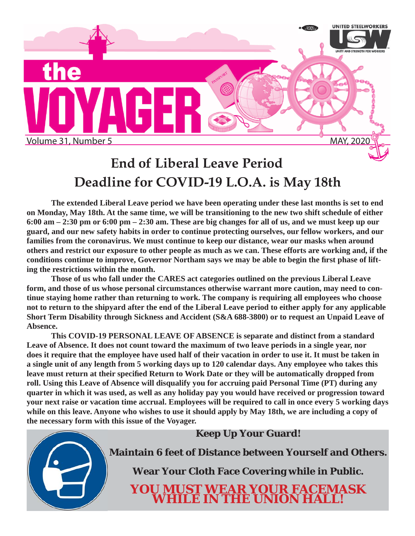

## **End of Liberal Leave Period Deadline for COVID-19 L.O.A. is May 18th**

**The extended Liberal Leave period we have been operating under these last months is set to end on Monday, May 18th. At the same time, we will be transitioning to the new two shift schedule of either 6:00 am – 2:30 pm or 6:00 pm – 2:30 am. These are big changes for all of us, and we must keep up our guard, and our new safety habits in order to continue protecting ourselves, our fellow workers, and our families from the coronavirus. We must continue to keep our distance, wear our masks when around others and restrict our exposure to other people as much as we can. These efforts are working and, if the**  conditions continue to improve, Governor Northam says we may be able to begin the first phase of lift**ing the restrictions within the month.**

 **Those of us who fall under the CARES act categories outlined on the previous Liberal Leave form, and those of us whose personal circumstances otherwise warrant more caution, may need to continue staying home rather than returning to work. The company is requiring all employees who choose not to return to the shipyard after the end of the Liberal Leave period to either apply for any applicable Short Term Disability through Sickness and Accident (S&A 688-3800) or to request an Unpaid Leave of Absence.**

 **This COVID-19 PERSONAL LEAVE OF ABSENCE is separate and distinct from a standard Leave of Absence. It does not count toward the maximum of two leave periods in a single year, nor does it require that the employee have used half of their vacation in order to use it. It must be taken in a single unit of any length from 5 working days up to 120 calendar days. Any employee who takes this**  leave must return at their specified Return to Work Date or they will be automatically dropped from **roll. Using this Leave of Absence will disqualify you for accruing paid Personal Time (PT) during any quarter in which it was used, as well as any holiday pay you would have received or progression toward your next raise or vacation time accrual. Employees will be required to call in once every 5 working days while on this leave. Anyone who wishes to use it should apply by May 18th, we are including a copy of the necessary form with this issue of the Voyager.**

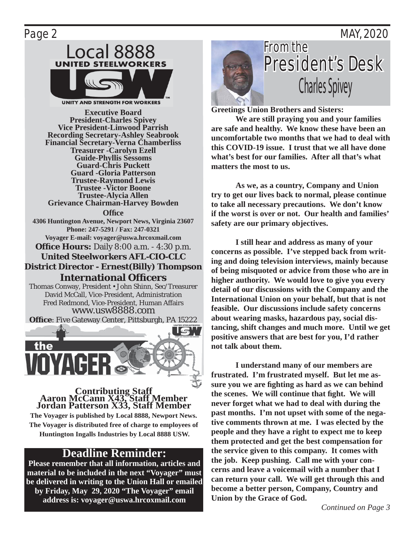### Page 2 MAY, 2020



**UNITY AND STRENGTH FOR WORKERS** 

**Executive Board President-Charles Spivey Vice President-Linwood Parrish Recording Secretary-Ashley Seabrook Financial Secretary-Verna Chamberliss Treasurer -Carolyn Ezell Guide-Phyllis Sessoms Guard-Chris Puckett Guard -Gloria Patterson Trustee-Raymond Lewis Trustee -Victor Boone Trustee-Alycia Allen Grievance Chairman-Harvey Bowden Offi ce 4306 Huntington Avenue, Newport News, Virginia 23607 Phone: 247-5291 / Fax: 247-0321 Voyager E-mail: voyager@uswa.hrcoxmail.com Office Hours:** Daily 8:00 a.m. - 4:30 p.m. **United Steelworkers AFL-CIO-CLC District Director - Ernest(Billy) Thompson International Offi cers** Thomas Conway, President • John Shinn, Sec/Treasurer David McCall, Vice-President, Administration Fred Redmond, Vice-President, Human Affairs

www.usw8888.com **Office**: Five Gateway Center, Pittsburgh, PA 15222 the

### **Contributing Staff Aaron McCann X43, Staff Member Jordan Patterson X33, Staff Member**

**The Voyager is published by Local 8888, Newport News. The Voyager is distributed free of charge to employees of Huntington Ingalls Industries by Local 8888 USW.**

### **Deadline Reminder:**

**Please remember that all information, articles and material to be included in the next "Voyager" must be delivered in writing to the Union Hall or emailed by Friday, May 29, 2020 "The Voyager" email address is: voyager@uswa.hrcoxmail.com**



**Greetings Union Brothers and Sisters:** 

 **We are still praying you and your families are safe and healthy. We know these have been an uncomfortable two months that we had to deal with this COVID-19 issue. I trust that we all have done what's best for our families. After all that's what matters the most to us.** 

 **As we, as a country, Company and Union try to get our lives back to normal, please continue to take all necessary precautions. We don't know if the worst is over or not. Our health and families' safety are our primary objectives.**

 **I still hear and address as many of your concerns as possible. I've stepped back from writing and doing television interviews, mainly because of being misquoted or advice from those who are in higher authority. We would love to give you every detail of our discussions with the Company and the International Union on your behalf, but that is not feasible. Our discussions include safety concerns about wearing masks, hazardous pay, social distancing, shift changes and much more. Until we get positive answers that are best for you, I'd rather not talk about them.**

 **I understand many of our members are frustrated. I'm frustrated myself. But let me assure you we are fi ghting as hard as we can behind the scenes.** We will continue that fight. We will **never forget what we had to deal with during the past months. I'm not upset with some of the negative comments thrown at me. I was elected by the people and they have a right to expect me to keep them protected and get the best compensation for the service given to this company. It comes with the job. Keep pushing. Call me with your concerns and leave a voicemail with a number that I can return your call. We will get through this and become a better person, Company, Country and Union by the Grace of God.**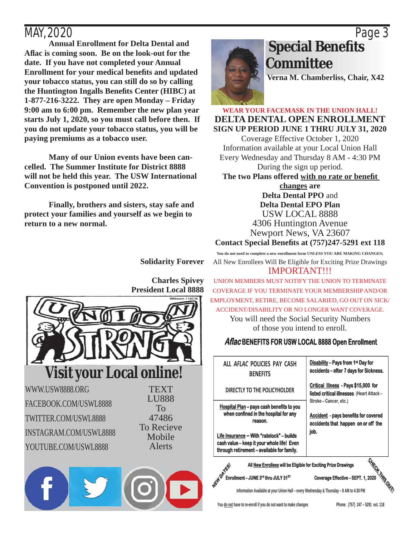**Annual Enrollment for Delta Dental and Afl ac is coming soon. Be on the look-out for the date. If you have not completed your Annual**  Enrollment for your medical benefits and updated **your tobacco status, you can still do so by calling the Huntington Ingalls Benefi ts Center (HIBC) at 1-877-216-3222. They are open Monday – Friday 9:00 am to 6:00 pm. Remember the new plan year starts July 1, 2020, so you must call before then. If you do not update your tobacco status, you will be paying premiums as a tobacco user.**

 **Many of our Union events have been cancelled. The Summer Institute for District 8888 will not be held this year. The USW International Convention is postponed until 2022.**

 **Finally, brothers and sisters, stay safe and protect your families and yourself as we begin to return to a new normal.** 



## MAY, 2020 Page 3  **Special Benefi ts Committee**

**Verna M. Chamberliss, Chair, X42**

**WEAR YOUR FACEMASK IN THE UNION HALL! DELTA DENTAL OPEN ENROLLMENT SIGN UP PERIOD JUNE 1 THRU JULY 31, 2020**

Coverage Effective October 1, 2020 Information available at your Local Union Hall Every Wednesday and Thursday 8 AM - 4:30 PM During the sign up period.

The two Plans offered with no rate or benefit

**changes are Delta Dental PPO** and **Delta Dental EPO Plan** USW LOCAL 8888 4306 Huntington Avenue Newport News, VA 23607

**Contact Special Benefi ts at (757)247-5291 ext 118 You do not need to complete a new enrollment form UNLESS YOU ARE MAKING CHANGES;**

**Solidarity Forever**



**Charles Spivey**

IMPORTANT!!! UNION MEMBERS MUST NOTIFY THE UNION TO TERMINATE COVERAGE IF YOU TERMINATE YOUR MEMBERSHIP AND/OR EMPLOYMENT, RETIRE, BECOME SALARIED, GO OUT ON SICK/ ACCIDENT/DISABILITY OR NO LONGER WANT COVERAGE.

All New Enrollees Will Be Eligible for Exciting Prize Drawings

You will need the Social Security Numbers of those you intend to enroll.

### **Aflac BENEFITS FOR USW LOCAL 8888 Open Enrollment**

| ALL AFLAC POLICIES PAY CASH<br><b>BENFFITS</b>                                                                                                                                                                                         | <b>Disability - Pays from 1st Day for</b><br>accidents – after 7 days for Sickness.                                  |  |
|----------------------------------------------------------------------------------------------------------------------------------------------------------------------------------------------------------------------------------------|----------------------------------------------------------------------------------------------------------------------|--|
| DIRECTLY TO THE POLICYHOLDER                                                                                                                                                                                                           | Critical Illness - Pays \$15,000 for<br>listed critical illnesses (Heart Attack -                                    |  |
| Hospital Plan - pays cash benefits to you<br>when confined in the hospital for any<br>reason.<br>Life Insurance - With "ratelock" - builds<br>cash value – keep it your whole life! Even<br>through retirement - available for family. | Stroke - Cancer, etc.)<br><b>Accident</b> - pays benefits for covered<br>accidents that happen on or off the<br>job. |  |
|                                                                                                                                                                                                                                        | Ω.                                                                                                                   |  |

**All New Enrollees will be Eligible for Exciting Prize Drawings** 

**ENROPTER THE SPENDING SPIER OF EXCITED PRIZE DRAWINGS**<br> **ENROPTER COVERAGE EFFECTIVE – SEPT. 1, 2020**<br>
Information Available at your Union Hall – every Wednesday & Thursday – 8 AM to 4:30 PM **Information Available at your Union Hall – every Wednesday & Thursday – 8 AM to 4:30 PM**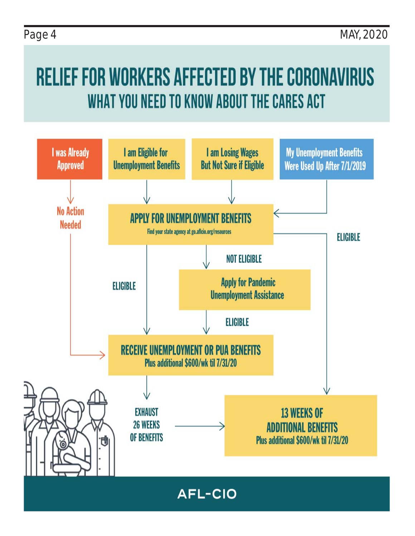# RELIEF FOR WORKERS AFFECTED BY THE CORONAVIRUS WHAT YOU NEED TO KNOW ABOUT THE CARES ACT

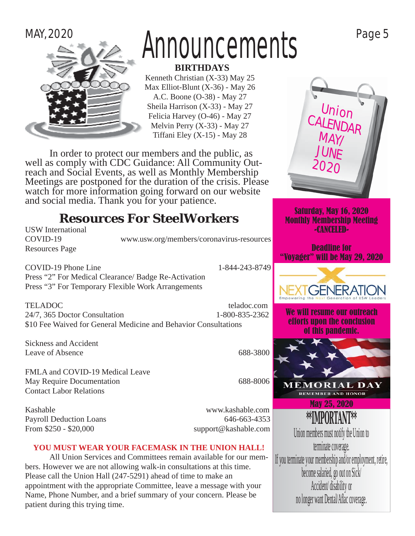

patient during this trying time.

# $M$ Announcements  $P^{\text{age 5}}$

 **BIRTHDAYS**

Kenneth Christian (X-33) May 25 Max Elliot-Blunt (X-36) - May 26 A.C. Boone (O-38) - May 27 Sheila Harrison (X-33) - May 27 Felicia Harvey (O-46) - May 27 Melvin Perry (X-33) - May 27 Tiffani Eley  $(X-15)$  - May 28

 In order to protect our members and the public, as well as comply with CDC Guidance: All Community Outreach and Social Events, as well as Monthly Membership Meetings are postponed for the duration of the crisis. Please watch for more information going forward on our website and social media. Thank you for your patience.

### **Resources For SteelWorkers**

| <b>USW</b> International                                              |                                                                 | -CANCELED-                                     |
|-----------------------------------------------------------------------|-----------------------------------------------------------------|------------------------------------------------|
| COVID-19<br><b>Resources Page</b>                                     | www.usw.org/members/coronavirus-resources                       | <b>Deadline for</b><br>"Voyager" will be May 2 |
| <b>COVID-19 Phone Line</b>                                            | 1-844-243-8749                                                  |                                                |
| Press "2" For Medical Clearance/ Badge Re-Activation                  |                                                                 |                                                |
| Press "3" For Temporary Flexible Work Arrangements                    |                                                                 |                                                |
| <b>TELADOC</b>                                                        | teladoc.com                                                     |                                                |
| 24/7, 365 Doctor Consultation                                         | 1-800-835-2362                                                  | We will resume our ou                          |
|                                                                       | \$10 Fee Waived for General Medicine and Behavior Consultations | efforts upon the concl<br>of this pandemic     |
| <b>Sickness and Accident</b>                                          |                                                                 |                                                |
| <b>Leave of Absence</b>                                               | 688-3800                                                        |                                                |
| FMLA and COVID-19 Medical Leave                                       |                                                                 |                                                |
| May Require Documentation                                             | 688-8006                                                        | <b>MEMORIAL</b>                                |
| <b>Contact Labor Relations</b>                                        |                                                                 | <b>REMEMBER AND HON</b>                        |
| Kashable                                                              | www.kashable.com                                                | <b>May 25, 2020</b>                            |
| <b>Payroll Deduction Loans</b>                                        | 646-663-4353                                                    | <b>**IMPORTANT**</b>                           |
| From \$250 - \$20,000                                                 | support@kashable.com                                            | Union members must notify the U                |
| YOU MUST WEAR YOUR FACEMASK IN THE UNION HALL!                        |                                                                 | terminate coverage.                            |
| All Union Services and Committees remain available for our mem-       |                                                                 | If you terminate your membership and/or en     |
| bers. However we are not allowing walk-in consultations at this time. |                                                                 |                                                |
| Please call the Union Hall (247-5291) ahead of time to make an        |                                                                 | become salaried, go out on Sio                 |
| appointment with the appropriate Committee, leave a message with your |                                                                 | Accident/ disability or                        |
| Name, Phone Number, and a brief summary of your concern. Please be    |                                                                 | no longer want Dental/Aflac cover              |



Saturday, May 16, 2020 Monthly Membership Meeting -CANCELED-

ior 'Yay 29, 2020



ur outreach **conclusion** lemic.



**HONOR** 

tify the Union to prage. and/or employment, retire, out on Sick/ .<br>Accident no longer want Dental/Aflac coverage.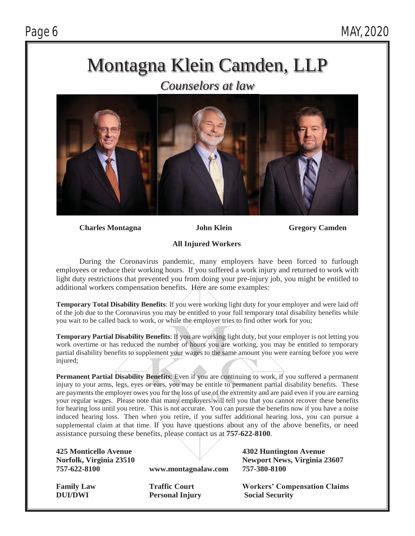## Montagna Klein Camden, LLP

*Counselors at law* 



**Charles Montagna John Klein Gregory Camden** 

### **All Injured Workers**

 During the Coronavirus pandemic, many employers have been forced to furlough employees or reduce their working hours. If you suffered a work injury and returned to work with light duty restrictions that prevented you from doing your pre-injury job, you might be entitled to additional workers compensation benefits. Here are some examples:

**Temporary Total Disability Benefits**: If you were working light duty for your employer and were laid off of the job due to the Coronavirus you may be entitled to your full temporary total disability benefits while you wait to be called back to work, or while the employer tries to find other work for you;

**Temporary Partial Disability Benefits:** If you are working light duty, but your employer is not letting you work overtime or has reduced the number of hours you are working, you may be entitled to temporary partial disability benefits to supplement your wages to the same amount you were earning before you were injured;

**Permanent Partial Disability Benefits:** Even if you are continuing to work, if you suffered a permanent injury to your arms, legs, eyes or ears, you may be entitle to permanent partial disability benefits. These are payments the employer owes you for the loss of use of the extremity and are paid even if you are earning your regular wages. Please note that many employers will tell you that you cannot recover these benefits for hearing loss until you retire. This is not accurate. You can pursue the benefits now if you have a noise induced hearing loss. Then when you retire, if you suffer additional hearing loss, you can pursue a supplemental claim at that time. If you have questions about any of the above benefits, or need assistance pursuing these benefits, please contact us at **757-622-8100**.

**425 Monticello Avenue 4302 Huntington Avenue** 

**757-622-8100 www.montagnalaw.com 757-380-8100** 

**Norfolk, Virginia 23510 Newport News, Virginia 23607** 

**DUI/DWI** Personal Injury Social Security

**Family Law Traffic Court Workers' Compensation Claims**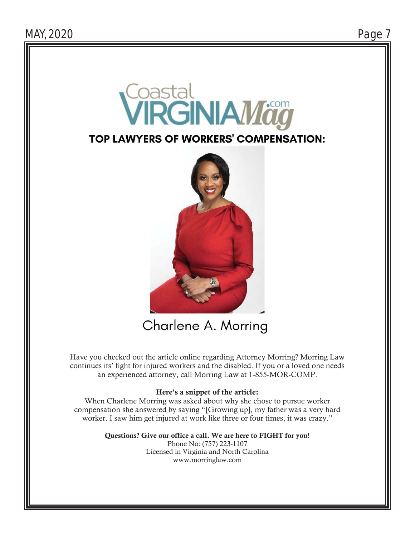

### **TOP LAWYERS OF WORKERS' COMPENSATION:**



## Charlene A. Morring

Have you checked out the article online regarding Attorney Morring? Morring Law continues its' fight for injured workers and the disabled. If you or a loved one needs an experienced attorney, call Morring Law at 1-855-MOR-COMP.

### Here's a snippet of the article:

When Charlene Morring was asked about why she chose to pursue worker compensation she answered by saying "[Growing up], my father was a very hard worker. I saw him get injured at work like three or four times, it was crazy."

> Questions? Give our office a call. We are here to FIGHT for you! Phone No: (757) 223-1107 Licensed in Virginia and North Carolina www.morringlaw.com